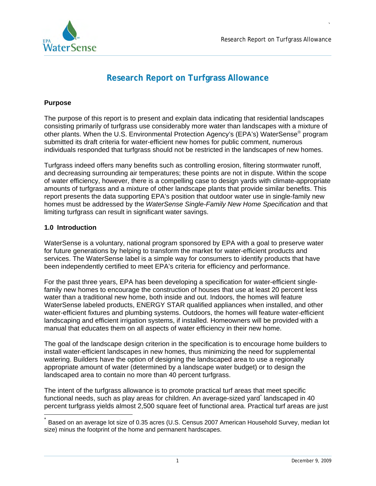

# **Research Report on Turfgrass Allowance**

# **Purpose**

The purpose of this report is to present and explain data indicating that residential landscapes consisting primarily of turfgrass use considerably more water than landscapes with a mixture of other plants. When the U.S. Environmental Protection Agency's (EPA's) WaterSense® program submitted its draft criteria for water-efficient new homes for public comment, numerous individuals responded that turfgrass should not be restricted in the landscapes of new homes.

Turfgrass indeed offers many benefits such as controlling erosion, filtering stormwater runoff, and decreasing surrounding air temperatures; these points are not in dispute. Within the scope of water efficiency, however, there is a compelling case to design yards with climate-appropriate amounts of turfgrass and a mixture of other landscape plants that provide similar benefits. This report presents the data supporting EPA's position that outdoor water use in single-family new homes must be addressed by the *WaterSense Single-Family New Home Specification* and that limiting turfgrass can result in significant water savings.

## **1.0 Introduction**

WaterSense is a voluntary, national program sponsored by EPA with a goal to preserve water for future generations by helping to transform the market for water-efficient products and services. The WaterSense label is a simple way for consumers to identify products that have been independently certified to meet EPA's criteria for efficiency and performance.

For the past three years, EPA has been developing a specification for water-efficient singlefamily new homes to encourage the construction of houses that use at least 20 percent less water than a traditional new home, both inside and out. Indoors, the homes will feature WaterSense labeled products, ENERGY STAR qualified appliances when installed, and other water-efficient fixtures and plumbing systems. Outdoors, the homes will feature water-efficient landscaping and efficient irrigation systems, if installed. Homeowners will be provided with a manual that educates them on all aspects of water efficiency in their new home.

The goal of the landscape design criterion in the specification is to encourage home builders to install water-efficient landscapes in new homes, thus minimizing the need for supplemental watering. Builders have the option of designing the landscaped area to use a regionally appropriate amount of water (determined by a landscape water budget) or to design the landscaped area to contain no more than 40 percent turfgrass.

The intent of the turfgrass allowance is to promote practical turf areas that meet specific functional needs, such as play areas for children. An average-sized yard<sup>\*</sup> landscaped in 40 percent turfgrass yields almost 2,500 square feet of functional area. Practical turf areas are just

Based on an average lot size of 0.35 acres (U.S. Census 2007 American Household Survey, median lot size) minus the footprint of the home and permanent hardscapes.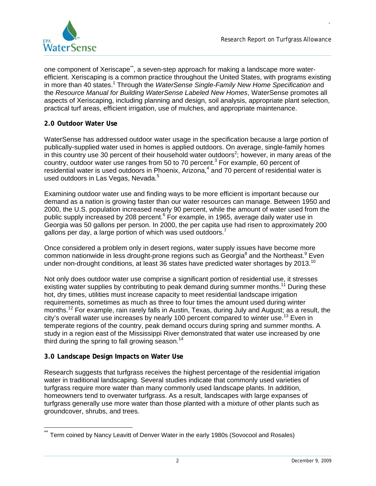

one component of Xeriscape<sup>\*\*</sup>, a seven-step approach for making a landscape more waterefficient. Xeriscaping is a common practice throughout the United States, with programs existing in more than 40 states.<sup>1</sup> Through the *WaterSense Single-Family New Home Specification* and the *Resource Manual for Building WaterSense Labeled New Homes*, WaterSense promotes all aspects of Xeriscaping, including planning and design, soil analysis, appropriate plant selection, practical turf areas, efficient irrigation, use of mulches, and appropriate maintenance.

# **2.0 Outdoor Water Use**

WaterSense has addressed outdoor water usage in the specification because a large portion of publically-supplied water used in homes is applied outdoors. On average, single-family homes in this country use 30 percent of their household water outdoors<sup>2</sup>; however, in many areas of the country, outdoor water use ranges from 50 to 70 percent.<sup>3</sup> For example, 60 percent of residential water is used outdoors in Phoenix, Arizona,<sup>4</sup> and 70 percent of residential water is used outdoors in Las Vegas, Nevada.<sup>5</sup>

Examining outdoor water use and finding ways to be more efficient is important because our demand as a nation is growing faster than our water resources can manage. Between 1950 and 2000, the U.S. population increased nearly 90 percent, while the amount of water used from the public supply increased by 208 percent.<sup>6</sup> For example, in 1965, average daily water use in Georgia was 50 gallons per person. In 2000, the per capita use had risen to approximately 200 gallons per day, a large portion of which was used outdoors.<sup>7</sup>

Once considered a problem only in desert regions, water supply issues have become more common nationwide in less drought-prone regions such as Georgia<sup>8</sup> and the Northeast.<sup>9</sup> Even under non-drought conditions, at least 36 states have predicted water shortages by 2013.<sup>10</sup>

Not only does outdoor water use comprise a significant portion of residential use, it stresses existing water supplies by contributing to peak demand during summer months.<sup>11</sup> During these hot, dry times, utilities must increase capacity to meet residential landscape irrigation requirements, sometimes as much as three to four times the amount used during winter months.12 For example, rain rarely falls in Austin, Texas, during July and August; as a result, the city's overall water use increases by nearly 100 percent compared to winter use.<sup>13</sup> Even in temperate regions of the country, peak demand occurs during spring and summer months. A study in a region east of the Mississippi River demonstrated that water use increased by one third during the spring to fall growing season.<sup>14</sup>

# **3.0 Landscape Design Impacts on Water Use**

Research suggests that turfgrass receives the highest percentage of the residential irrigation water in traditional landscaping. Several studies indicate that commonly used varieties of turfgrass require more water than many commonly used landscape plants. In addition, homeowners tend to overwater turfgrass. As a result, landscapes with large expanses of turfgrass generally use more water than those planted with a mixture of other plants such as groundcover, shrubs, and trees.

Term coined by Nancy Leavitt of Denver Water in the early 1980s (Sovocool and Rosales)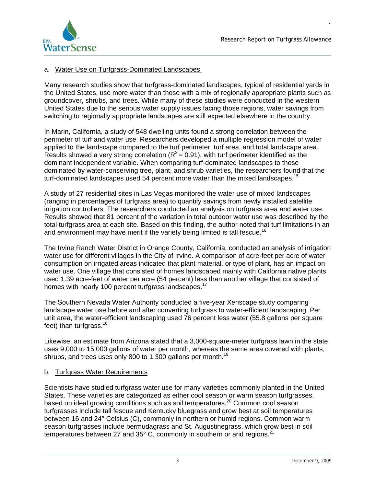<span id="page-2-0"></span>

#### a. Water Use on Turfgrass-Dominated Landscapes

Many research studies show that turfgrass-dominated landscapes, typical of residential yards in the United States, use more water than those with a mix of regionally appropriate plants such as groundcover, shrubs, and trees. While many of these studies were conducted in the western United States due to the serious water supply issues facing those regions, water savings from switching to regionally appropriate landscapes are still expected elsewhere in the country.

In Marin, California, a study of 548 dwelling units found a strong correlation between the perimeter of turf and water use. Researchers developed a multiple regression model of water applied to the landscape compared to the turf perimeter, turf area, and total landscape area. Results showed a very strong correlation ( $R^2$  = 0.91), with turf perimeter identified as the dominant independent variable. When comparing turf-dominated landscapes to those dominated by water-conserving tree, plant, and shrub varieties, the researchers found that the turf-dominated landscapes used 54 percent more water than the mixed landscapes.<sup>15</sup>

A study of 27 residential sites in Las Vegas monitored the water use of mixed landscapes (ranging in percentages of turfgrass area) to quantify savings from newly installed satellite irrigation controllers. The researchers conducted an analysis on turfgrass area and water use. Results showed that 81 percent of the variation in total outdoor water use was described by the total turfgrass area at each site. Based on this finding, the author noted that turf limitations in an arid environment may have merit if the variety being limited is tall fescue.<sup>16</sup>

The Irvine Ranch Water District in Orange County, California, conducted an analysis of irrigation water use for different villages in the City of Irvine. A comparison of acre-feet per acre of water consumption on irrigated areas indicated that plant material, or type of plant, has an impact on water use. One village that consisted of homes landscaped mainly with California native plants used 1.39 acre-feet of water per acre (54 percent) less than another village that consisted of homes with nearly 100 percent turfgrass landscapes.<sup>17</sup>

The Southern Nevada Water Authority conducted a five-year Xeriscape study comparing landscape water use before and after converting turfgrass to water-efficient landscaping. Per unit area, the water-efficient landscaping used 76 percent less water (55.8 gallons per square feet) than turfgrass. $18$ 

Likewise, an estimate from Arizona stated that a 3,000-square-meter turfgrass lawn in the state uses 9,000 to 15,000 gallons of water per month, whereas the same area covered with plants, shrubs, and trees uses only 800 to 1,300 gallons per month.<sup>19</sup>

#### b. Turfgrass Water Requirements

Scientists have studied turfgrass water use for many varieties commonly planted in the United States. These varieties are categorized as either cool season or warm season turfgrasses, based on ideal growing conditions such as soil temperatures.<sup>20</sup> Common cool season turfgrasses include tall fescue and Kentucky bluegrass and grow best at soil temperatures between 16 and 24° Celsius (C), commonly in northern or humid regions. Common warm season turfgrasses include bermudagrass and St. Augustinegrass, which grow best in soil temperatures between 27 and 35 $^{\circ}$  C, commonly in southern or arid regions.<sup>21</sup>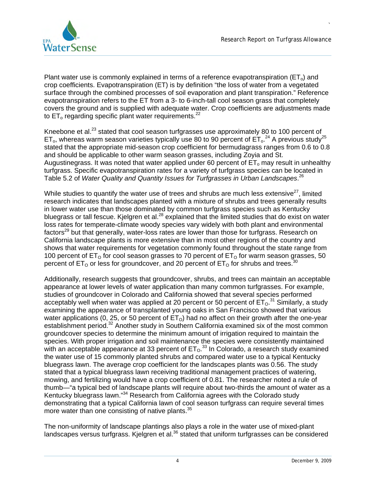

Plant water use is commonly explained in terms of a reference evapotranspiration ( $ET<sub>o</sub>$ ) and crop coefficients. Evapotranspiration (ET) is by definition "the loss of water from a vegetated surface through the combined processes of soil evaporation and plant transpiration." Reference evapotranspiration refers to the ET from a 3- to 6-inch-tall cool season grass that completely covers the ground and is supplied with adequate water. Crop coefficients are adjustments made to  $ET_0$  regarding specific plant water requirements.<sup>22</sup>

Kneebone et al.<sup>23</sup> stated that cool season turfgrasses use approximately 80 to 100 percent of ET<sub>o</sub>, whereas warm season varieties typically use 80 to 90 percent of  $ET_0$ <sup>24</sup> A previous study<sup>25</sup> stated that the appropriate mid-season crop coefficient for bermudagrass ranges from 0.6 to 0.8 and should be applicable to other warm season grasses, including Zoyia and St. Augustinegrass. It was noted that water applied under 60 percent of  $ET_0$  may result in unhealthy turfgrass. Specific evapotranspiration rates for a variety of turfgrass species can be located in Table 5.2 of *Water Quality and Quantity Issues for Turfgrasses in Urban Landscapes*. 26

While studies to quantify the water use of trees and shrubs are much less extensive  $27$ , limited research indicates that landscapes planted with a mixture of shrubs and trees generally results in lower water use than those dominated by common turfgrass species such as Kentucky bluegrass or tall fescue. Kjelgren et al.<sup>28</sup> explained that the limited studies that do exist on water loss rates for temperate-climate woody species vary widely with both plant and environmental factors<sup>29</sup> but that generally, water-loss rates are lower than those for turfgrass. Research on California landscape plants is more extensive than in most other regions of the country and shows that water requirements for vegetation commonly found throughout the state range from 100 percent of  $ET<sub>0</sub>$  for cool season grasses to 70 percent of  $ET<sub>0</sub>$  for warm season grasses, 50 percent of  $ET_0$  or less for groundcover, and 20 percent of  $ET_0$  for shrubs and trees.<sup>30</sup>

Additionally, research suggests that groundcover, shrubs, and trees can maintain an acceptable appearance at lower levels of water application than many common turfgrasses. For example, studies of groundcover in Colorado and California showed that several species performed acceptably well when water was applied at 20 percent or 50 percent of  $\mathsf{ET_0}.^{31}$  Similarly, a study examining the appearance of transplanted young oaks in San Francisco showed that various water applications (0, 25, or 50 percent of  $ET<sub>O</sub>$ ) had no affect on their growth after the one-year establishment period.<sup>32</sup> Another study in Southern California examined six of the most common groundcover species to determine the minimum amount of irrigation required to maintain the species. With proper irrigation and soil maintenance the species were consistently maintained with an acceptable appearance at 33 percent of  $ET_0$ <sup>33</sup> In Colorado, a research study examined the water use of 15 commonly planted shrubs and compared water use to a typical Kentucky bluegrass lawn. The average crop coefficient for the landscapes plants was 0.56. The study stated that a typical bluegrass lawn receiving traditional management practices of watering, mowing, and fertilizing would have a crop coefficient of 0.81. The researcher noted a rule of thumb—"a typical bed of landscape plants will require about two-thirds the amount of water as a Kentucky bluegrass lawn."34 Research from California agrees with the Colorado study demonstrating that a typical California lawn of cool season turfgrass can require several times more water than one consisting of native plants.<sup>35</sup>

The non-uniformity of landscape plantings also plays a role in the water use of mixed-plant landscapes versus turfgrass. Kjelgren et al.<sup>36</sup> stated that uniform turfgrasses can be considered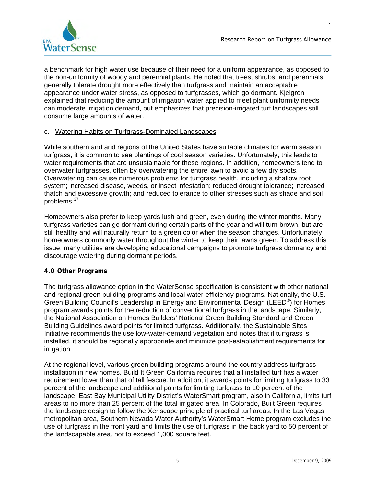

a benchmark for high water use because of their need for a uniform appearance, as opposed to the non-uniformity of woody and perennial plants. He noted that trees, shrubs, and perennials generally tolerate drought more effectively than turfgrass and maintain an acceptable appearance under water stress, as opposed to turfgrasses, which go dormant. Kjelgren explained that reducing the amount of irrigation water applied to meet plant uniformity needs can moderate irrigation demand, but emphasizes that precision-irrigated turf landscapes still consume large amounts of water.

## c. Watering Habits on Turfgrass-Dominated Landscapes

While southern and arid regions of the United States have suitable climates for warm season turfgrass, it is common to see plantings of cool season varieties. Unfortunately, this leads to water requirements that are unsustainable for these regions. In addition, homeowners tend to overwater turfgrasses, often by overwatering the entire lawn to avoid a few dry spots. Overwatering can cause numerous problems for turfgrass health, including a shallow root system; increased disease, weeds, or insect infestation; reduced drought tolerance; increased thatch and excessive growth; and reduced tolerance to other stresses such as shade and soil problems.<sup>37</sup>

Homeowners also prefer to keep yards lush and green, even during the winter months. Many turfgrass varieties can go dormant during certain parts of the year and will turn brown, but are still healthy and will naturally return to a green color when the season changes. Unfortunately, homeowners commonly water throughout the winter to keep their lawns green. To address this issue, many utilities are developing educational campaigns to promote turfgrass dormancy and discourage watering during dormant periods.

#### **4.0 Other Programs**

The turfgrass allowance option in the WaterSense specification is consistent with other national and regional green building programs and local water-efficiency programs. Nationally, the U.S. Green Building Council's Leadership in Energy and Environmental Design (LEED®) for Homes program awards points for the reduction of conventional turfgrass in the landscape. Similarly, the National Association on Homes Builders' National Green Building Standard and Green Building Guidelines award points for limited turfgrass. Additionally, the Sustainable Sites Initiative recommends the use low-water-demand vegetation and notes that if turfgrass is installed, it should be regionally appropriate and minimize post-establishment requirements for irrigation

At the regional level, various green building programs around the country address turfgrass installation in new homes. Build It Green California requires that all installed turf has a water requirement lower than that of tall fescue. In addition, it awards points for limiting turfgrass to 33 percent of the landscape and additional points for limiting turfgrass to 10 percent of the landscape. East Bay Municipal Utility District's WaterSmart program, also in California, limits turf areas to no more than 25 percent of the total irrigated area. In Colorado, Built Green requires the landscape design to follow the Xeriscape principle of practical turf areas. In the Las Vegas metropolitan area, Southern Nevada Water Authority's WaterSmart Home program excludes the use of turfgrass in the front yard and limits the use of turfgrass in the back yard to 50 percent of the landscapable area, not to exceed 1,000 square feet.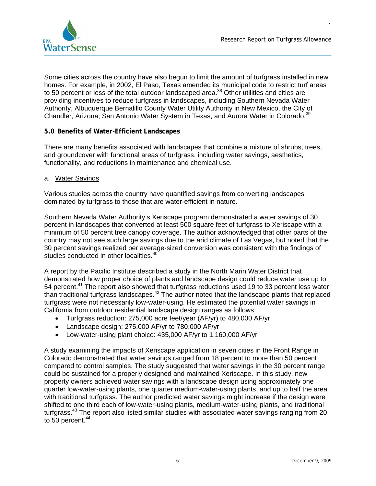

Some cities across the country have also begun to limit the amount of turfgrass installed in new homes. For example, in 2002, El Paso, Texas amended its municipal code to restrict turf areas to 50 percent or less of the total outdoor landscaped area.<sup>38</sup> Other utilities and cities are providing incentives to reduce turfgrass in landscapes, including Southern Nevada Water Authority, Albuquerque Bernalillo County Water Utility Authority in New Mexico, the City of Chandler, Arizona, San Antonio Water System in Texas, and Aurora Water in Colorado.<sup>39</sup>

# **5.0 Benefits of Water-Efficient Landscapes**

There are many benefits associated with landscapes that combine a mixture of shrubs, trees, and groundcover with functional areas of turfgrass, including water savings, aesthetics, functionality, and reductions in maintenance and chemical use.

## a. Water Savings

Various studies across the country have quantified savings from converting landscapes dominated by turfgrass to those that are water-efficient in nature.

Southern Nevada Water Authority's Xeriscape program demonstrated a water savings of 30 percent in landscapes that converted at least 500 square feet of turfgrass to Xeriscape with a minimum of 50 percent tree canopy coverage. The author acknowledged that other parts of the country may not see such large savings due to the arid climate of Las Vegas, but noted that the 30 percent savings realized per average-sized conversion was consistent with the findings of studies conducted in other localities.<sup>40</sup>

A report by the Pacific Institute described a study in the North Marin Water District that demonstrated how proper choice of plants and landscape design could reduce water use up to 54 percent.<sup>41</sup> The report also showed that turfgrass reductions used 19 to 33 percent less water than traditional turfgrass landscapes.<sup>42</sup> The author noted that the landscape plants that replaced turfgrass were not necessarily low-water-using. He estimated the potential water savings in California from outdoor residential landscape design ranges as follows:

- Turfgrass reduction: 275,000 acre feet/year (AF/yr) to 480,000 AF/yr
- Landscape design: 275,000 AF/yr to 780,000 AF/yr
- Low-water-using plant choice: 435,000 AF/yr to 1,160,000 AF/yr

A study examining the impacts of Xeriscape application in seven cities in the Front Range in Colorado demonstrated that water savings ranged from 18 percent to more than 50 percent compared to control samples. The study suggested that water savings in the 30 percent range could be sustained for a properly designed and maintained Xeriscape. In this study, new property owners achieved water savings with a landscape design using approximately one quarter low-water-using plants, one quarter medium-water-using plants, and up to half the area with traditional turfgrass. The author predicted water savings might increase if the design were shifted to one third each of low-water-using plants, medium-water-using plants, and traditional turfgrass.<sup>43</sup> The report also listed similar studies with associated water savings ranging from 20 to  $50$  percent.  $44$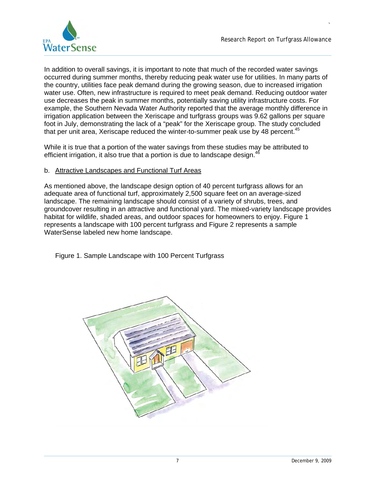

In addition to overall savings, it is important to note that much of the recorded water savings occurred during summer months, thereby reducing peak water use for utilities. In many parts of the country, utilities face peak demand during the growing season, due to increased irrigation water use. Often, new infrastructure is required to meet peak demand. Reducing outdoor water use decreases the peak in summer months, potentially saving utility infrastructure costs. For example, the Southern Nevada Water Authority reported that the average monthly difference in irrigation application between the Xeriscape and turfgrass groups was 9.62 gallons per square foot in July, demonstrating the lack of a "peak" for the Xeriscape group. The study concluded that per unit area, Xeriscape reduced the winter-to-summer peak use by 48 percent. $45$ 

While it is true that a portion of the water savings from these studies may be attributed to efficient irrigation, it also true that a portion is due to landscape design. $46$ 

## b. Attractive Landscapes and Functional Turf Areas

As mentioned above, the landscape design option of 40 percent turfgrass allows for an adequate area of functional turf, approximately 2,500 square feet on an average-sized landscape. The remaining landscape should consist of a variety of shrubs, trees, and groundcover resulting in an attractive and functional yard. The mixed-variety landscape provides habitat for wildlife, shaded areas, and outdoor spaces for homeowners to enjoy. Figure 1 represents a landscape with 100 percent turfgrass and Figure 2 represents a sample WaterSense labeled new home landscape.

Figure 1. Sample Landscape with 100 Percent Turfgrass

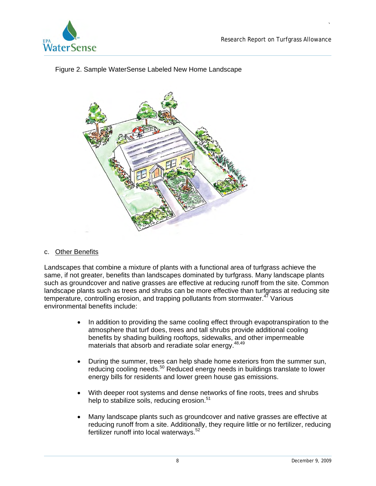

# Figure 2. Sample WaterSense Labeled New Home Landscape



# c. Other Benefits

Landscapes that combine a mixture of plants with a functional area of turfgrass achieve the same, if not greater, benefits than landscapes dominated by turfgrass. Many landscape plants such as groundcover and native grasses are effective at reducing runoff from the site. Common landscape plants such as trees and shrubs can be more effective than turfgrass at reducing site temperature, controlling erosion, and trapping pollutants from stormwater. $47$  Various environmental benefits include:

- In addition to providing the same cooling effect through evapotranspiration to the atmosphere that turf does, trees and tall shrubs provide additional cooling benefits by shading building rooftops, sidewalks, and other impermeable materials that absorb and reradiate solar energy.<sup>48,49</sup>
- During the summer, trees can help shade home exteriors from the summer sun, reducing cooling needs.<sup>50</sup> Reduced energy needs in buildings translate to lower energy bills for residents and lower green house gas emissions.
- With deeper root systems and dense networks of fine roots, trees and shrubs help to stabilize soils, reducing erosion.<sup>51</sup>
- Many landscape plants such as groundcover and native grasses are effective at reducing runoff from a site. Additionally, they require little or no fertilizer, reducing fertilizer runoff into local waterways.<sup>52</sup>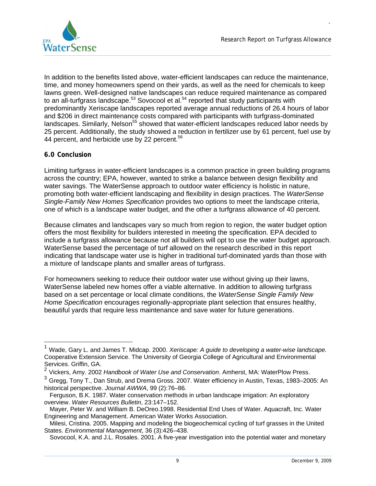

In addition to the benefits listed above, water-efficient landscapes can reduce the maintenance, time, and money homeowners spend on their yards, as well as the need for chemicals to keep lawns green. Well-designed native landscapes can reduce required maintenance as compared to an all-turfgrass landscape.<sup>53</sup> Sovocool et al.<sup>54</sup> reported that study participants with predominantly Xeriscape landscapes reported average annual reductions of 26.4 hours of labor and \$206 in direct maintenance costs compared with participants with turfgrass-dominated landscapes. Similarly, Nelson<sup>55</sup> showed that water-efficient landscapes reduced labor needs by 25 percent. Additionally, the study showed a reduction in fertilizer use by 61 percent, fuel use by 44 percent, and herbicide use by 22 percent.<sup>56</sup>

## **6.0 Conclusion**

Limiting turfgrass in water-efficient landscapes is a common practice in green building programs across the country; EPA, however, wanted to strike a balance between design flexibility and water savings. The WaterSense approach to outdoor water efficiency is holistic in nature, promoting both water-efficient landscaping and flexibility in design practices. The *WaterSense Single-Family New Homes Specification* provides two options to meet the landscape criteria, one of which is a landscape water budget, and the other a turfgrass allowance of 40 percent.

Because climates and landscapes vary so much from region to region, the water budget option offers the most flexibility for builders interested in meeting the specification. EPA decided to include a turfgrass allowance because not all builders will opt to use the water budget approach. WaterSense based the percentage of turf allowed on the research described in this report indicating that landscape water use is higher in traditional turf-dominated yards than those with a mixture of landscape plants and smaller areas of turfgrass.

For homeowners seeking to reduce their outdoor water use without giving up their lawns, WaterSense labeled new homes offer a viable alternative. In addition to allowing turfgrass based on a set percentage or local climate conditions, the *WaterSense Single Family New Home Specification* encourages regionally-appropriate plant selection that ensures healthy, beautiful yards that require less maintenance and save water for future generations.

<sup>1</sup> Wade, Gary L. and James T. Midcap. 2000. *Xeriscape: A guide to developing a water-wise landscape.* Cooperative Extension Service. The University of Georgia College of Agricultural and Environmental Services. Griffin, GA.

<sup>2</sup> Vickers, Amy. 2002 *Handbook of Water Use and Conservation*. Amherst, MA: WaterPlow Press.

3 Gregg, Tony T., Dan Strub, and Drema Gross. 2007. Water efficiency in Austin, Texas, 1983–2005: An historical perspective. *Journal AWWA*, 99 (2):76–86*.* 

Ferguson, B.K. 1987. Water conservation methods in urban landscape irrigation: An exploratory overview. *Water Resources Bulletin*, 23:147–152.

Mayer, Peter W. and William B. DeOreo.1998. Residential End Uses of Water. Aquacraft, Inc. Water Engineering and Management. American Water Works Association.

Milesi, Cristina. 2005. Mapping and modeling the biogeochemical cycling of turf grasses in the United States. *Environmental Management*, 36 (3):426–438.

Sovocool, K.A. and J.L. Rosales. 2001. A five-year investigation into the potential water and monetary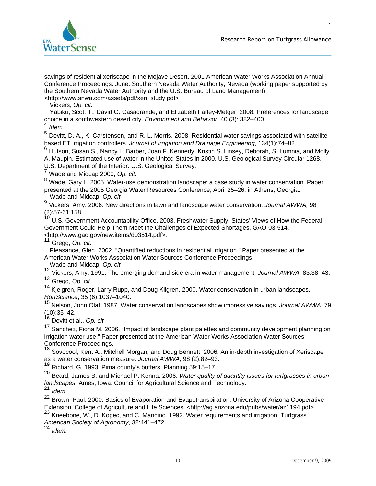

savings of residential xeriscape in the Mojave Desert. 2001 American Water Works Association Annual Conference Proceedings. June. Southern Nevada Water Authority, Nevada (working paper supported by the Southern Nevada Water Authority and the U.S. Bureau of Land Management). <http://www.snwa.com/assets/pdf/xeri\_study.pdf>

Vickers, *Op. cit.* 

Yabiku, Scott T., David G. Casagrande, and Elizabeth Farley-Metger. 2008. Preferences for landscape choice in a southwestern desert city. *Environment and Behavior*, 40 (3): 382–400.

 $^{4}$  *Idem.*<br> $^{5}$   $\sim$   $^{10}$ 

5 Devitt, D. A., K. Carstensen, and R. L. Morris. 2008. Residential water savings associated with satellitebased ET irrigation controllers. *Journal of Irrigation and Drainage Engineering*, 134(1):74–82.

6 Hutson, Susan S., Nancy L. Barber, Joan F. Kennedy, Kristin S. Linsey, Deborah, S. Lumnia, and Molly A. Maupin. Estimated use of water in the United States in 2000. U.S. Geological Survey Circular 1268. U.S. Department of the Interior. U.S. Geological Survey.

7 Wade and Midcap 2000, *Op. cit.*

 8 Wade, Gary L. 2005. Water-use demonstration landscape: a case study in water conservation. Paper presented at the 2005 Georgia Water Resources Conference, April 25–26, in Athens, Georgia. Wade and Midcap, *Op. cit.* 

9 Vickers, Amy. 2006. New directions in lawn and landscape water conservation. *Journal AWWA,* 98  $(2):$ 57-61,158.

10 U.S. Government Accountability Office. 2003. Freshwater Supply: States' Views of How the Federal Government Could Help Them Meet the Challenges of Expected Shortages. GAO-03-514. <http://www.gao.gov/new.items/d03514.pdf>.

11 Gregg, *Op. cit.* 

Pleasance, Glen. 2002. "Quantified reductions in residential irrigation." Paper presented at the American Water Works Association Water Sources Conference Proceedings.

Wade and Midcap, *Op. cit.* 

12 Vickers, Amy. 1991. The emerging demand-side era in water management. *Journal AWWA,* 83:38–43.

13 Gregg, *Op. cit.*

<sup>14</sup> Kjelgren, Roger, Larry Rupp, and Doug Kilgren. 2000. Water conservation in urban landscapes. *HortScience*, 35 (6):1037–1040.

 15 Nelson, John Olaf. 1987. Water conservation landscapes show impressive savings. *Journal AWWA*, 79 (10):35–42.

16 Devitt et al., *Op. cit.* 

<sup>17</sup> Sanchez, Fiona M. 2006. "Impact of landscape plant palettes and community development planning on irrigation water use." Paper presented at the American Water Works Association Water Sources Conference Proceedings.

<sup>18</sup> Sovocool, Kent A., Mitchell Morgan, and Doug Bennett. 2006. An in-depth investigation of Xeriscape as a water conservation measure. *Journal AWWA,* 98 (2):82–93.

19 Richard, G. 1993. Pima county's buffers. Planning 59:15–17.

 20 Beard, James B. and Michael P. Kenna. 2006. *Water quality of quantity issues for turfgrasses in urban landscapes*. Ames, Iowa: Council for Agricultural Science and Technology. <sup>21</sup>*Idem.*

<sup>21</sup> Idem.<br><sup>22</sup> Brown, Paul. 2000. Basics of Evaporation and Evapotranspiration. University of Arizona Cooperative Extension, College of Agriculture and Life Sciences. <http://ag.arizona.edu/pubs/water/az1194.pdf>.

<sup>23</sup> Kneebone, W., D. Kopec, and C. Mancino. 1992. Water requirements and irrigation. Turfgrass.

*American Society of Agronomy*, 32:441–472. <sup>24</sup>*Idem.*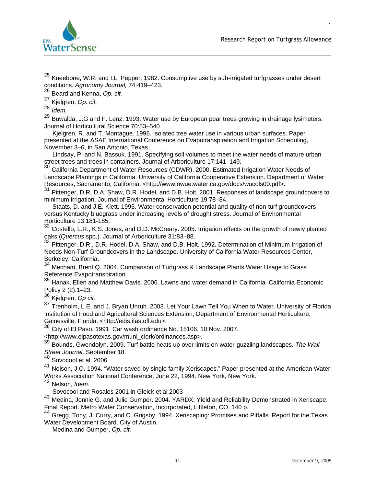

<sup>25</sup> Kneebone, W.R. and I.L. Pepper. 1982. Consumptive use by sub-irrigated turfgrasses under desert conditions. *Agronomy Journal,* 74:419–423. 26 Beard and Kenna, *Op. cit.*

<sup>26</sup> Beard and Kenna, Op. cit.<br><sup>27</sup> Kjelgren, Op. cit.<br><sup>28</sup> John

<sup>27</sup> Kjelgren, Op. cit.<br><sup>28</sup> Idem.<br><sup>29</sup> Buwalda, LG and

Buwalda, J.G and F. Lenz. 1993. Water use by European pear trees growing in drainage lysimeters. Journal of Horticultural Science 70:53–540.

Kjelgren, R. and T. Montague. 1996. Isolated tree water use in various urban surfaces. Paper presented at the ASAE International Conference on Evapotranspiration and Irrigation Scheduling, November 3–6, in San Antonio, Texas.

Lindsay, P. and N. Bassuk. 1991. Specifying soil volumes to meet the water needs of mature urban street trees and trees in containers. Journal of Arboriculture 17:141–149.

 $30$  California Department of Water Resources (CDWR). 2000. Estimated Irrigation Water Needs of Landscape Plantings in California. University of California Cooperative Extension. Department of Water Resources, Sacramento, California. <http://www.owue.water.ca.gov/docs/wucols00.pdf>.

31 Pittenger, D.R, D.A. Shaw, D.R. Hodel, and D.B. Holt. 2001. Responses of landscape groundcovers to minimum irrigation. Journal of Environmental Horticulture 19:78–84.

Staats, D. and J.E. Klett. 1995. Water conservation potential and quality of non-turf groundcovers versus Kentucky bluegrass under increasing levels of drought stress. Journal of Environmental Horticulture 13:181-185.

<sup>32</sup> Costello, L.R., K.S. Jones, and D.D. McCreary. 2005. Irrigation effects on the growth of newly planted oaks (*Quercus* spp.). Journal of Arboriculture 31:83–88.

<sup>33</sup> Pittenger, D.R., D.R. Hodel, D.A. Shaw, and D.B. Holt. 1992. Determination of Minimum Irrigation of Needs Non-Turf Groundcovers in the Landscape. University of California Water Resources Center, Berkeley, California.

<sup>34</sup> Mecham, Brent Q. 2004. Comparison of Turfgrass & Landscape Plants Water Usage to Grass Reference Evapotranspiration.

35 Hanak, Ellen and Matthew Davis. 2006. Lawns and water demand in California. California Economic Policy 2 (2):1–23.

36 Kjelgren, *Op cit.* 

<sup>37</sup> Trenholm, L.E. and J. Bryan Unruh. 2003. Let Your Lawn Tell You When to Water. University of Florida Institution of Food and Agricultural Sciences Extension, Department of Environmental Horticulture, Gainesville, Florida. <http://edis.ifas.ufl.edu>.

38 City of El Paso. 1991. Car wash ordinance No. 15106. 10 Nov. 2007.

<http://www.elpasotexas.gov/muni\_clerk/ordinances.asp>.

39 Bounds, Gwendolyn. 2009. Turf battle heats up over limits on water-guzzling landscapes. *The Wall Street Journal*. September 18.

40 Sovocool et al. 2006

 41 Nelson, J.O. 1994. "Water saved by single family Xeriscapes." Paper presented at the American Water Works Association National Conference, June 22, 1994. New York, New York.

42 Nelson, *Idem.* 

Sovocool and Rosales 2001 in Gleick et al 2003

43 Medina, Jonnie G. and Julie Gumper. 2004. YARDX: Yield and Reliability Demonstrated in Xeriscape: Final Report. Metro Water Conservation, Incorporated, Littleton, CO, 140 p.

<sup>44</sup> Gregg, Tony, J. Curry, and C. Grigsby. 1994. Xeriscaping: Promises and Pitfalls. Report for the Texas Water Development Board. City of Austin.

Medina and Gumper, *Op. cit.*